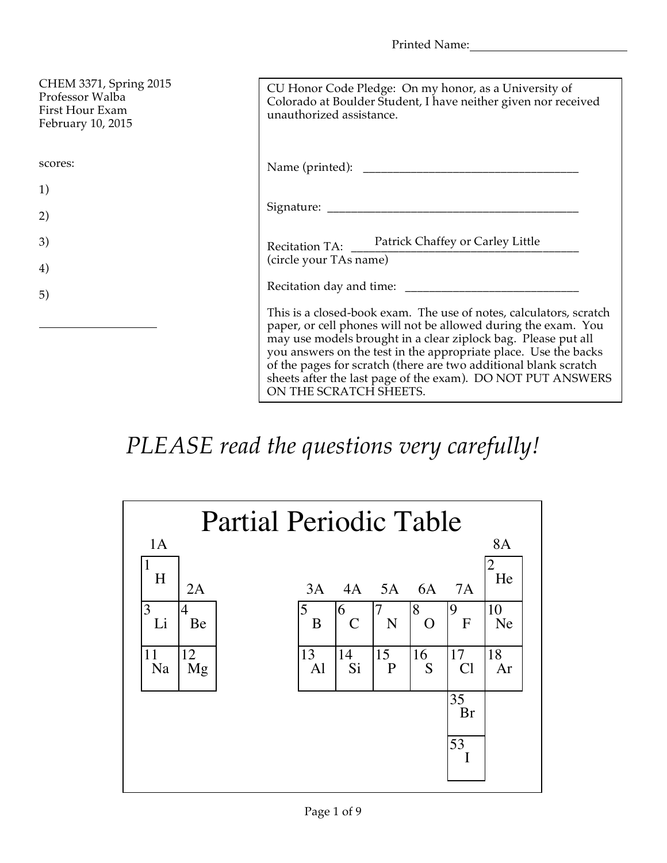Printed Name:

| CHEM 3371, Spring 2015<br>Professor Walba<br>First Hour Exam<br>February 10, 2015 | CU Honor Code Pledge: On my honor, as a University of<br>Colorado at Boulder Student, I have neither given nor received<br>unauthorized assistance.                                                                                                                                                                                                                                                                                   |
|-----------------------------------------------------------------------------------|---------------------------------------------------------------------------------------------------------------------------------------------------------------------------------------------------------------------------------------------------------------------------------------------------------------------------------------------------------------------------------------------------------------------------------------|
| scores:                                                                           |                                                                                                                                                                                                                                                                                                                                                                                                                                       |
| 1)                                                                                |                                                                                                                                                                                                                                                                                                                                                                                                                                       |
| 2)                                                                                |                                                                                                                                                                                                                                                                                                                                                                                                                                       |
| 3)                                                                                | Recitation TA: Patrick Chaffey or Carley Little                                                                                                                                                                                                                                                                                                                                                                                       |
| 4)                                                                                | (circle your TAs name)                                                                                                                                                                                                                                                                                                                                                                                                                |
| 5)                                                                                |                                                                                                                                                                                                                                                                                                                                                                                                                                       |
|                                                                                   | This is a closed-book exam. The use of notes, calculators, scratch<br>paper, or cell phones will not be allowed during the exam. You<br>may use models brought in a clear ziplock bag. Please put all<br>you answers on the test in the appropriate place. Use the backs<br>of the pages for scratch (there are two additional blank scratch<br>sheets after the last page of the exam). DO NOT PUT ANSWERS<br>ON THE SCRATCH SHEETS. |

## *PLEASE read the questions very carefully!*

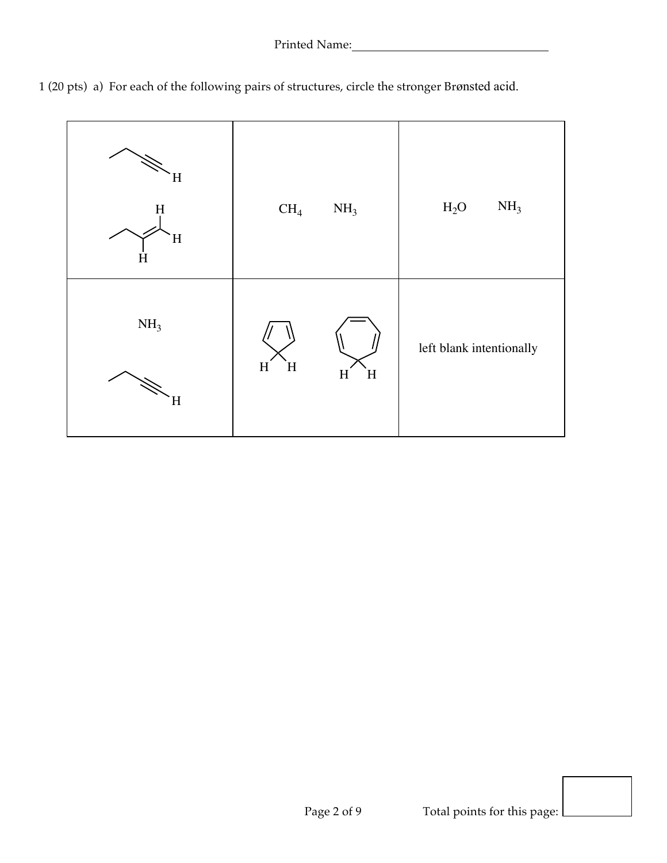

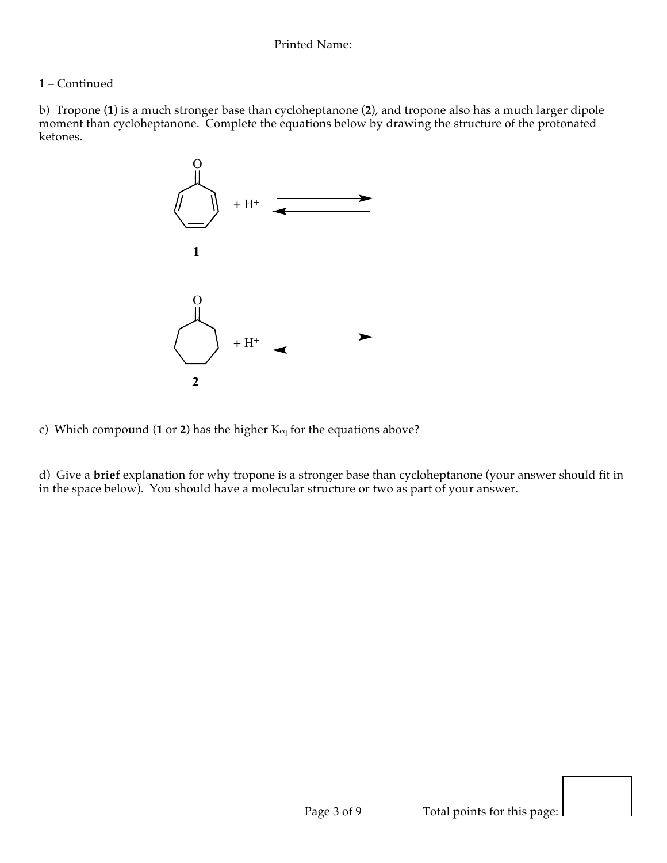## 1 – Continued

b) Tropone (**1**) is a much stronger base than cycloheptanone (**2**), and tropone also has a much larger dipole moment than cycloheptanone. Complete the equations below by drawing the structure of the protonated ketones.



c) Which compound (**1** or **2**) has the higher Keq for the equations above?

d) Give a **brief** explanation for why tropone is a stronger base than cycloheptanone (your answer should fit in in the space below). You should have a molecular structure or two as part of your answer.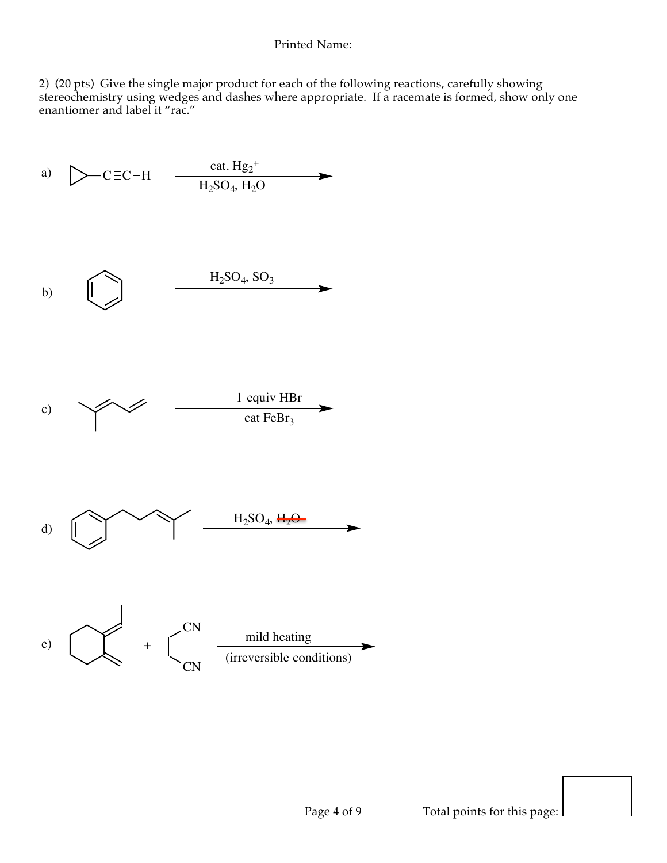2) (20 pts) Give the single major product for each of the following reactions, carefully showing stereochemistry using wedges and dashes where appropriate. If a racemate is formed, show only one enantiomer and label it "rac."

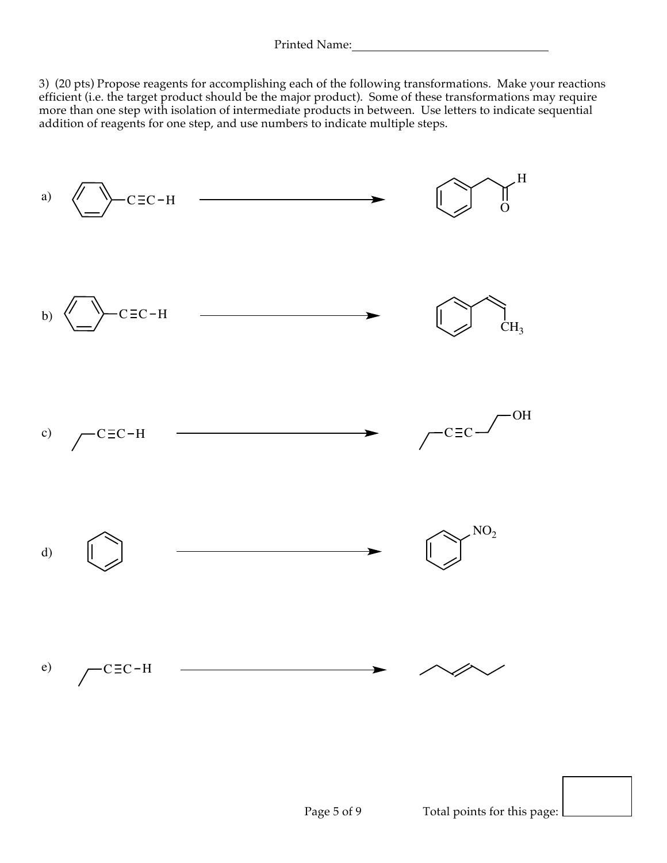3) (20 pts) Propose reagents for accomplishing each of the following transformations. Make your reactions efficient (i.e. the target product should be the major product). Some of these transformations may require more than one step with isolation of intermediate products in between. Use letters to indicate sequential addition of reagents for one step, and use numbers to indicate multiple steps.

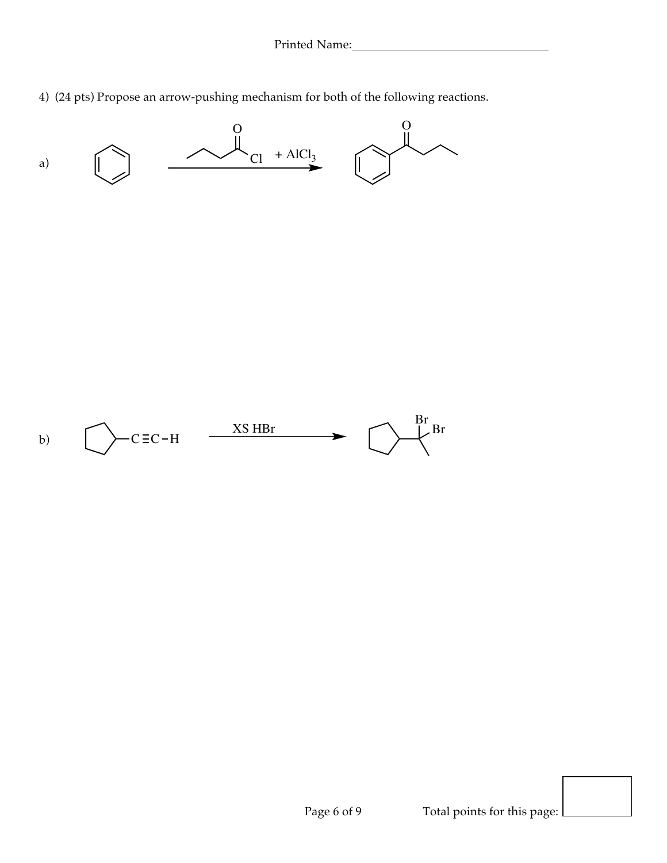4) (24 pts) Propose an arrow-pushing mechanism for both of the following reactions.

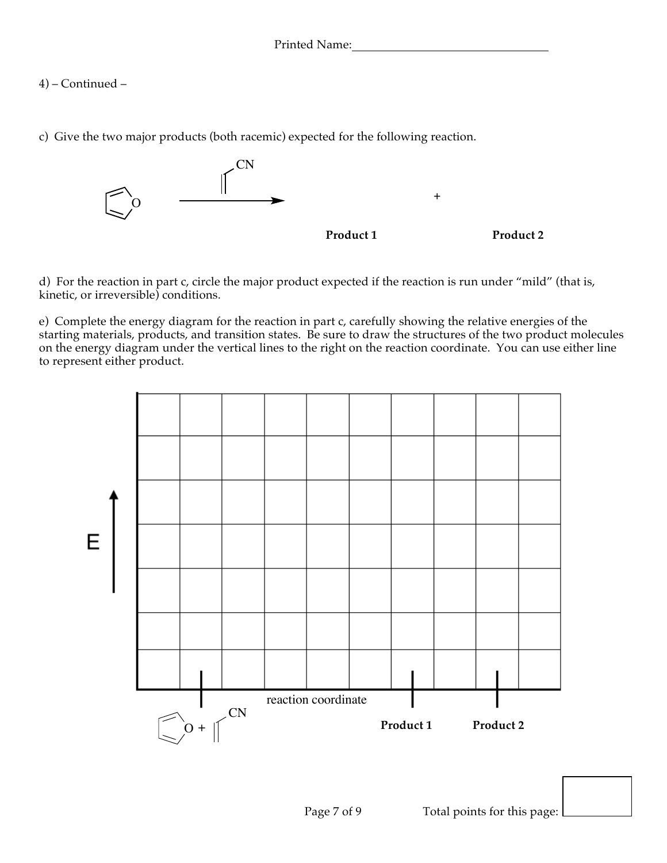4) – Continued –

c) Give the two major products (both racemic) expected for the following reaction.



d) For the reaction in part c, circle the major product expected if the reaction is run under "mild" (that is, kinetic, or irreversible) conditions.

e) Complete the energy diagram for the reaction in part c, carefully showing the relative energies of the starting materials, products, and transition states. Be sure to draw the structures of the two product molecules on the energy diagram under the vertical lines to the right on the reaction coordinate. You can use either line to represent either product.

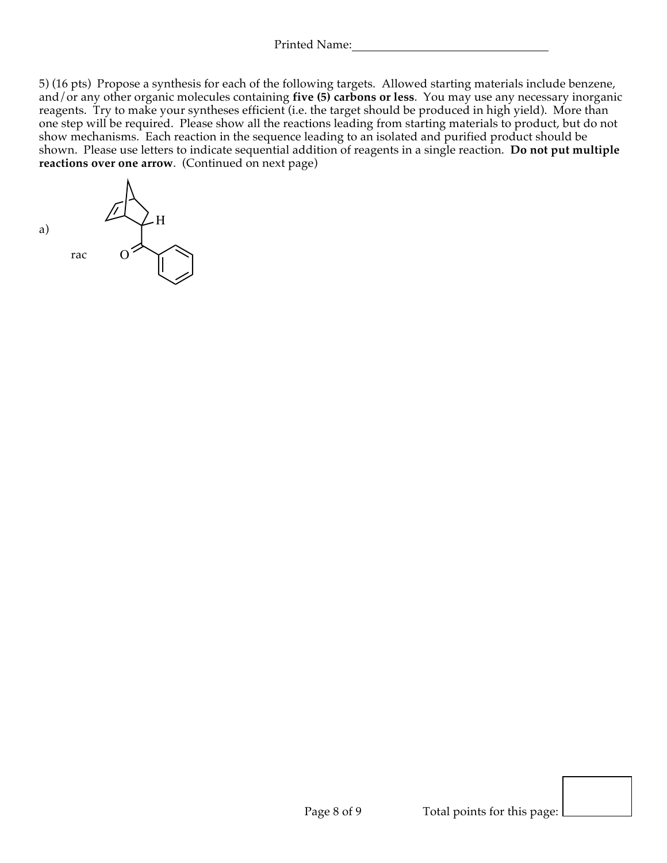5) (16 pts) Propose a synthesis for each of the following targets. Allowed starting materials include benzene, and/or any other organic molecules containing **five (5) carbons or less**. You may use any necessary inorganic reagents. Try to make your syntheses efficient (i.e. the target should be produced in high yield). More than one step will be required. Please show all the reactions leading from starting materials to product, but do not show mechanisms. Each reaction in the sequence leading to an isolated and purified product should be shown. Please use letters to indicate sequential addition of reagents in a single reaction. **Do not put multiple reactions over one arrow**. (Continued on next page)

a) rac H